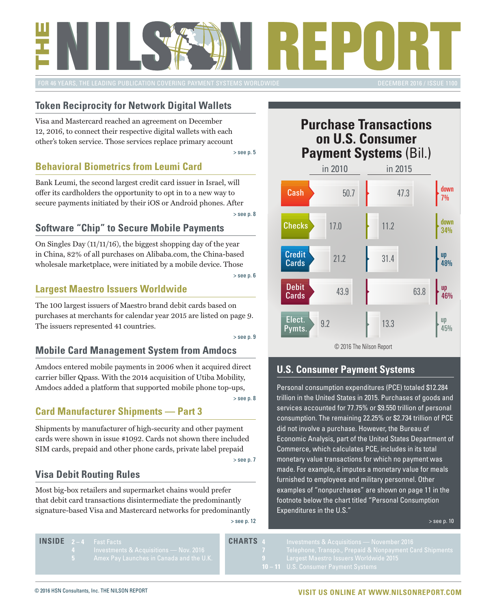<span id="page-0-0"></span>

#### **Token Reciprocity for Network Digital Wallets**

Visa and Mastercard reached an agreement on December 12, 2016, to connect their respective digital wallets with each other's token service. Those services replace primary account

[> see p. 5](#page-4-0)

#### **Behavioral Biometrics from Leumi Card**

Bank Leumi, the second largest credit card issuer in Israel, will offer its cardholders the opportunity to opt in to a new way to secure payments initiated by their iOS or Android phones. After

[> see p. 8](#page-7-0)

#### **Software "Chip" to Secure Mobile Payments**

On Singles Day (11/11/16), the biggest shopping day of the year in China, 82% of all purchases on Alibaba.com, the China-based wholesale marketplace, were initiated by a mobile device. Those

#### [> see p. 6](#page-5-0)

#### **Largest Maestro Issuers Worldwide**

The 100 largest issuers of Maestro brand debit cards based on purchases at merchants for calendar year 2015 are listed on page 9. The issuers represented 41 countries.

[> see p. 9](#page-8-0)

#### **Mobile Card Management System from Amdocs**

Amdocs entered mobile payments in 2006 when it acquired direct carrier biller Qpass. With the 2014 acquisition of Utiba Mobility, Amdocs added a platform that supported mobile phone top-ups,

[> see p. 8](#page-7-0)

#### **Card Manufacturer Shipments — Part 3**

Shipments by manufacturer of high-security and other payment cards were shown in issue #1092. Cards not shown there included SIM cards, prepaid and other phone cards, private label prepaid

#### **Visa Debit Routing Rules**

Most big-box retailers and supermarket chains would prefer that debit card transactions disintermediate the predominantly signature-based Visa and Mastercard networks for predominantly

[> see p. 12](#page-10-0)

[> see p. 7](#page-6-0)

#### **Purchase Transactions on U.S. Consumer Payment Systems** (Bil.)



#### **U.S. Consumer Payment Systems**

Personal consumption expenditures (PCE) totaled \$12.284 trillion in the United States in 2015. Purchases of goods and services accounted for 77.75% or \$9.550 trillion of personal consumption. The remaining 22.25% or \$2.734 trillion of PCE did not involve a purchase. However, the Bureau of Economic Analysis, part of the United States Department of Commerce, which calculates PCE, includes in its total monetary value transactions for which no payment was made. For example, it imputes a monetary value for meals furnished to employees and military personnel. Other examples of "nonpurchases" are shown on page 11 in the footnote below the chart titled "Personal Consumption Expenditures in the U.S."

[> see p. 10](#page-9-0)

**2 – 4** [Fast Facts](#page-1-0)   **INSIDE CHARTS**

- -

- 
- 

© 2016 HSN Consultants, Inc. THE NILSON REPORT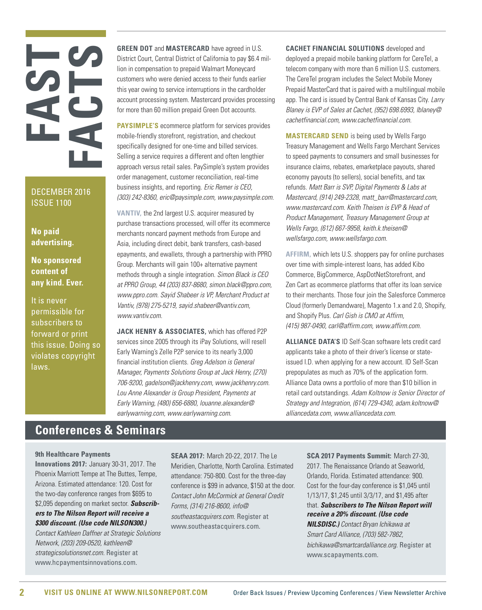# <span id="page-1-0"></span>**FAST FACTS**

DECEMBER 2016 ISSUE 1100

**No paid advertising.**

**No sponsored content of any kind. Ever.**

It is never permissible for subscribers to forward or print this issue. Doing so violates copyright laws.

**GREEN DOT** and **MASTERCARD** have agreed in U.S. District Court, Central District of California to pay \$6.4 million in compensation to prepaid Walmart Moneycard customers who were denied access to their funds earlier this year owing to service interruptions in the cardholder account processing system. Mastercard provides processing for more than 60 million prepaid Green Dot accounts.

**PAYSIMPLE'S** ecommerce platform for services provides mobile-friendly storefront, registration, and checkout specifically designed for one-time and billed services. Selling a service requires a different and often lengthier approach versus retail sales. PaySimple's system provides order management, customer reconciliation, real-time business insights, and reporting. *Eric Remer is CEO, (303) 242-8360, eric@paysimple.com, www.paysimple.com.* 

**VANTIV,** the 2nd largest U.S. acquirer measured by purchase transactions processed, will offer its ecommerce merchants noncard payment methods from Europe and Asia, including direct debit, bank transfers, cash-based epayments, and ewallets, through a partnership with PPRO Group. Merchants will gain 100+ alternative payment methods through a single integration. *Simon Black is CEO at PPRO Group, 44 (203) 837-8680, simon.black@ppro.com, www.ppro.com. Sayid Shabeer is VP, Merchant Product at Vantiv, (978) 275-5219, sayid.shabeer@vantiv.com, www.vantiv.com.* 

**JACK HENRY & ASSOCIATES,** which has offered P2P services since 2005 through its iPay Solutions, will resell Early Warning's Zelle P2P service to its nearly 3,000 financial institution clients. *Greg Adelson is General Manager, Payments Solutions Group at Jack Henry, (270) 706-9200, gadelson@jackhenry.com, www.jackhenry.com. Lou Anne Alexander is Group President, Payments at Early Warning, (480) 656-6880, louanne.alexander@ earlywarning.com, www.earlywarning.com.* 

**CACHET FINANCIAL SOLUTIONS** developed and deployed a prepaid mobile banking platform for CereTel, a telecom company with more than 6 million U.S. customers. The CereTel program includes the Select Mobile Money Prepaid MasterCard that is paired with a multilingual mobile app. The card is issued by Central Bank of Kansas City. *Larry Blaney is EVP of Sales at Cachet, (952) 698.6993, lblaney@ cachetfinancial.com, www.cachetfinancial.com.*

**MASTERCARD SEND** is being used by Wells Fargo Treasury Management and Wells Fargo Merchant Services to speed payments to consumers and small businesses for insurance claims, rebates, emarketplace payouts, shared economy payouts (to sellers), social benefits, and tax refunds. *Matt Barr is SVP, Digital Payments & Labs at Mastercard, (914) 249-2328, matt\_barr@mastercard.com, www.mastercard.com. Keith Theisen is EVP & Head of Product Management, Treasury Management Group at Wells Fargo, (612) 667-9958, keith.k.theisen@ wellsfargo.com, www.wellsfargo.com.* 

**AFFIRM,** which lets U.S. shoppers pay for online purchases over time with simple-interest loans, has added Kibo Commerce, BigCommerce, AspDotNetStorefront, and Zen Cart as ecommerce platforms that offer its loan service to their merchants. Those four join the Salesforce Commerce Cloud (formerly Demandware), Magento 1.x and 2.0, Shopify, and Shopify Plus. *Carl Gish is CMO at Affirm, (415) 987-0490, carl@affirm.com, www.affirm.com.* 

**ALLIANCE DATA'S** ID Self-Scan software lets credit card applicants take a photo of their driver's license or stateissued I.D. when applying for a new account. ID Self-Scan prepopulates as much as 70% of the application form. Alliance Data owns a portfolio of more than \$10 billion in retail card outstandings. *Adam Koltnow is Senior Director of Strategy and Integration, (614) 729-4340, adam.koltnow@ alliancedata.com, www.alliancedata.com.* 

#### **Conferences & Seminars**

#### **9th Healthcare Payments**

**Innovations 2017:** January 30-31, 2017. The Phoenix Marriott Tempe at The Buttes, Tempe, Arizona. Estimated attendance: 120. Cost for the two-day conference ranges from \$695 to \$2,095 depending on market sector. *Subscribers to The Nilson Report will receive a \$300 discount. (Use code NILSON300.)*

*Contact Kathleen Daffner at Strategic Solutions Network, (203) 209-0520, kathleen@ strategicsolutionsnet.com.* Register at www.hcpaymentsinnovations.com.

**SEAA 2017:** March 20-22, 2017. The Le Meridien, Charlotte, North Carolina. Estimated attendance: 750-800. Cost for the three-day conference is \$99 in advance, \$150 at the door. *Contact John McCormick at General Credit Forms, (314) 216-8600, info@ southeastacquirers.com.* Register at www.southeastacquirers.com.

**SCA 2017 Payments Summit:** March 27-30, 2017. The Renaissance Orlando at Seaworld, Orlando, Florida. Estimated attendance: 900. Cost for the four-day conference is \$1,045 until 1/13/17, \$1,245 until 3/3/17, and \$1,495 after that. *Subscribers to The Nilson Report will receive a 20% discount. (Use code NILSDISC.) Contact Bryan Ichikawa at Smart Card Alliance, (703) 582-7862, bichikawa@smartcardalliance.org.* Register at www.scapayments.com.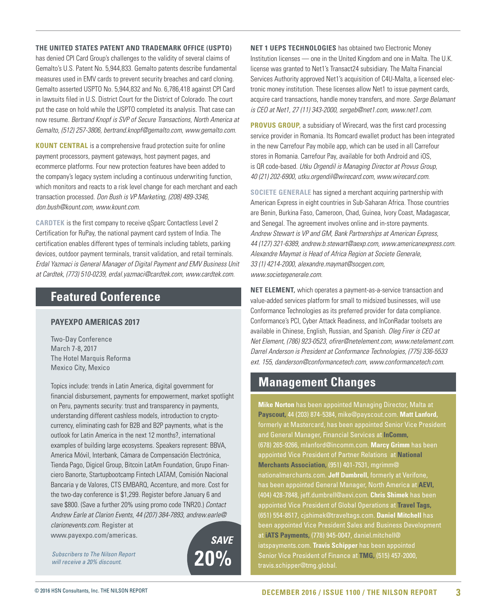#### **THE UNITED STATES PATENT AND TRADEMARK OFFICE (USPTO)**

has denied CPI Card Group's challenges to the validity of several claims of Gemalto's U.S. Patent No. 5,944,833. Gemalto patents describe fundamental measures used in EMV cards to prevent security breaches and card cloning. Gemalto asserted USPTO No. 5,944,832 and No. 6,786,418 against CPI Card in lawsuits filed in U.S. District Court for the District of Colorado. The court put the case on hold while the USPTO completed its analysis. That case can now resume. *Bertrand Knopf is SVP of Secure Transactions, North America at Gemalto, (512) 257-3806, bertrand.knopf@gemalto.com, www.gemalto.com.* 

**KOUNT CENTRAL** is a comprehensive fraud protection suite for online payment processors, payment gateways, host payment pages, and ecommerce platforms. Four new protection features have been added to the company's legacy system including a continuous underwriting function, which monitors and reacts to a risk level change for each merchant and each transaction processed. *Don Bush is VP Marketing, (208) 489-3346, don.bush@kount.com, www.kount.com.* 

**CARDTEK** is the first company to receive qSparc Contactless Level 2 Certification for RuPay, the national payment card system of India. The certification enables different types of terminals including tablets, parking devices, outdoor payment terminals, transit validation, and retail terminals. *Erdal Yazmaci is General Manager of Digital Payment and EMV Business Unit at Cardtek, (773) 510-0239, erdal.yazmaci@cardtek.com, www.cardtek.com.* 

#### **Featured Conference**

#### **PAYEXPO AMERICAS 2017**

Two-Day Conference March 7-8, 2017 The Hotel Marquis Reforma Mexico City, Mexico

Topics include: trends in Latin America, digital government for financial disbursement, payments for empowerment, market spotlight on Peru, payments security: trust and transparency in payments, understanding different cashless models, introduction to cryptocurrency, eliminating cash for B2B and B2P payments, what is the outlook for Latin America in the next 12 months?, international examples of building large ecosystems. Speakers represent: BBVA, America Móvil, Interbank, Cámara de Compensación Electrónica, Tienda Pago, Digicel Group, Bitcoin LatAm Foundation, Grupo Financiero Banorte, Startupbootcamp Fintech LATAM, Comisión Nacional Bancaria y de Valores, CTS EMBARQ, Accenture, and more. Cost for the two-day conference is \$1,299. Register before January 6 and save \$800. (Save a further 20% using promo code TNR20.) *Contact Andrew Earle at Clarion Events, 44 (207) 384-7893, andrew.earle@ clarionevents.com.* Register at

www.payexpo.com/americas.

*Subscribers to The Nilson Report will receive a 20% discount.* **20%**

*SAVE*

**NET 1 UEPS TECHNOLOGIES** has obtained two Electronic Money Institution licenses — one in the United Kingdom and one in Malta. The U.K. license was granted to Net1's Transact24 subsidiary. The Malta Financial Services Authority approved Net1's acquisition of C4U-Malta, a licensed electronic money institution. These licenses allow Net1 to issue payment cards, acquire card transactions, handle money transfers, and more. *Serge Belamant is CEO at Net1, 27 (11) 343-2000, sergeb@net1.com, www.net1.com.* 

**PROVUS GROUP,** a subsidiary of Wirecard, was the first card processing service provider in Romania. Its Romcard ewallet product has been integrated in the new Carrefour Pay mobile app, which can be used in all Carrefour stores in Romania. Carrefour Pay, available for both Android and iOS, is QR code-based. *Utku Orgendil is Managing Director at Provus Group, 40 (21) 202-6900, utku.orgendil@wirecard.com, www.wirecard.com.* 

**SOCIETE GENERALE** has signed a merchant acquiring partnership with American Express in eight countries in Sub-Saharan Africa. Those countries are Benin, Burkina Faso, Cameroon, Chad, Guinea, Ivory Coast, Madagascar, and Senegal. The agreement involves online and in-store payments. *Andrew Stewart is VP and GM, Bank Partnerships at American Express, 44 (127) 321-6389, andrew.b.stewart@aexp.com, www.americanexpress.com. Alexandre Maymat is Head of Africa Region at Societe Generale, 33 (1) 4214-2000, alexandre.maymat@socgen.com, www.societegenerale.com.* 

**NET ELEMENT,** which operates a payment-as-a-service transaction and value-added services platform for small to midsized businesses, will use Conformance Technologies as its preferred provider for data compliance. Conformance's PCI, Cyber Attack Readiness, and InConRadar toolsets are available in Chinese, English, Russian, and Spanish. *Oleg Firer is CEO at Net Element, (786) 923-0523, ofirer@netelement.com, www.netelement.com. Darrel Anderson is President at Conformance Technologies, (775) 336-5533 ext. 155, danderson@conformancetech.com, www.conformancetech.com.* 

#### **Management Changes**

**Mike Norton** has been appointed Managing Director, Malta at **Payscout,** 44 (203) 874-5384, mike@payscout.com. **Matt Lanford,**  formerly at Mastercard, has been appointed Senior Vice President and General Manager, Financial Services at **InComm,** (678) 265-9266, mlanford@incomm.com. **Marcy Grimm** has been appointed Vice President of Partner Relations at **National Merchants Association,** (951) 401-7531, mgrimm@ nationalmerchants.com. **Jeff Dumbrell,** formerly at Verifone, has been appointed General Manager, North America at **AEVI,**  (404) 428-7848, jeff.dumbrell@aevi.com. **Chris Shimek** has been appointed Vice President of Global Operations at **Travel Tags,** (651) 554-8517, cjshimek@traveltags.com. **Daniel Mitchell** has been appointed Vice President Sales and Business Development at **iATS Payments,** (778) 945-0047, daniel.mitchell@ iatspayments.com. **Travis Schipper** has been appointed Senior Vice President of Finance at **TMG,** (515) 457-2000, travis.schipper@tmg.global.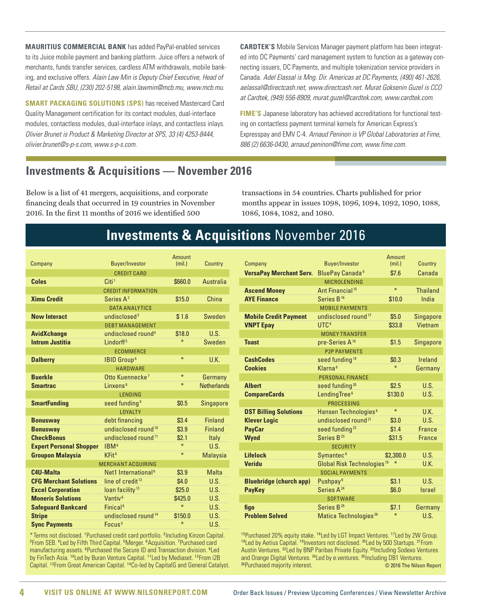<span id="page-3-0"></span>**MAURITIUS COMMERCIAL BANK** has added PayPal-enabled services to its Juice mobile payment and banking platform. Juice offers a network of merchants, funds transfer services, cardless ATM withdrawals, mobile banking, and exclusive offers. *Alain Law Min is Deputy Chief Executive, Head of Retail at Cards SBU, (230) 202-5198, alain.lawmin@mcb.mu, www.mcb.mu.* 

**SMART PACKAGING SOLUTIONS (SPS)** has received Mastercard Card Quality Management certification for its contact modules, dual-interface modules, contactless modules, dual-interface inlays, and contactless inlays. *Olivier Brunet is Product & Marketing Director at SPS, 33 (4) 4253-8444, olivier.brunet@s-p-s.com, www.s-p-s.com.* 

**CARDTEK'S** Mobile Services Manager payment platform has been integrated into DC Payments' card management system to function as a gateway connecting issuers, DC Payments, and multiple tokenization service providers in Canada. *Adel Elassal is Mng. Dir. Americas at DC Payments, (490) 461-2626, aelassal@directcash.net, www.directcash.net. Murat Goksenin Guzel is CCO at Cardtek, (949) 556-8909, murat.guzel@cardtek.com, www.cardtek.com.* 

**FIME'S** Japanese laboratory has achieved accreditations for functional testing on contactless payment terminal kernels for American Express's Expresspay and EMV C-4. *Arnaud Peninon is VP Global Laboratories at Fime, 886 (2) 6636-0430, arnaud.peninon@fime.com, www.fime.com.* 

#### **Investments & Acquisitions — November 2016**

Below is a list of 41 mergers, acquisitions, and corporate financing deals that occurred in 19 countries in November 2016. In the first 11 months of 2016 we identified 500

transactions in 54 countries. Charts published for prior months appear in issues 1098, 1096, 1094, 1092, 1090, 1088, 1086, 1084, 1082, and 1080.

### **Investments & Acquisitions** November 2016

| Company                        | <b>Buyer/Investor</b>           | Amount<br>(mil.) | Country            |
|--------------------------------|---------------------------------|------------------|--------------------|
|                                | <b>CREDIT CARD</b>              |                  |                    |
| <b>Coles</b>                   | Citi <sup>1</sup>               | \$660.0          | Australia          |
|                                | CREDIT INFORMATION              |                  |                    |
| <b>Ximu Credit</b>             | Series A <sup>2</sup>           | \$15.0           | China              |
|                                | <b>DATA ANAIYTICS</b>           |                  |                    |
| <b>Now Interact</b>            | undisclosed <sup>3</sup>        | \$1.6            | Sweden             |
|                                | <b>DEBTMANAGEMENT</b>           |                  |                    |
| <b>AvidXchange</b>             | undisclosed round <sup>4</sup>  | \$18.0           | U.S.               |
| <b>Intrum Justitia</b>         | l indorff <sup>5</sup>          | $\ast$           | Sweden             |
|                                | <b>ECOMMERCE</b>                |                  |                    |
| <b>Dalberry</b>                | <b>IBID Group<sup>6</sup></b>   | $\ast$           | U.K.               |
|                                | HARDWARF                        |                  |                    |
| <b>Buerkle</b>                 | Otto Kuennecke <sup>7</sup>     | $\ast$           | Germany            |
| <b>Smartrac</b>                | linxens <sup>8</sup>            | $\ast$           | <b>Netherlands</b> |
|                                | <b>LENDING</b>                  |                  |                    |
| <b>SmartFunding</b>            | seed funding <sup>9</sup>       | \$0.5            | <b>Singapore</b>   |
|                                | <b>LOYALTY</b>                  |                  |                    |
| <b>Bonusway</b>                | debt financing                  | \$3.4            | <b>Finland</b>     |
| <b>Bonusway</b>                | undisclosed round <sup>10</sup> | \$3.9            | <b>Finland</b>     |
| <b>CheckBonus</b>              | undisclosed round <sup>11</sup> | \$2.1            | Italy              |
| <b>Expert Personal Shopper</b> | IBM <sup>6</sup>                | $\ast$           | U.S.               |
| <b>Groupon Malaysia</b>        | KFit <sup>6</sup>               | $\ast$           | <b>Malaysia</b>    |
|                                | <b>MERCHANT ACQUIRING</b>       |                  |                    |
| C4U-Malta                      | Net1 International <sup>6</sup> | \$3.9            | <b>Malta</b>       |
| <b>CFG Merchant Solutions</b>  | line of credit <sup>12</sup>    | \$4.0            | U.S.               |
| <b>Excel Corporation</b>       | loan facility <sup>13</sup>     | \$25.0           | U.S.               |
| <b>Moneris Solutions</b>       | Vantiv <sup>6</sup>             | \$425.0          | U.S.               |
| <b>Safeguard Bankcard</b>      | Finical <sup>6</sup>            | $\ast$           | U.S.               |
| <b>Stripe</b>                  | undisclosed round <sup>14</sup> | \$150.0          | U.S.               |
| <b>Sync Payments</b>           | Focus <sup>5</sup>              | $\ast$           | U.S.               |
|                                |                                 |                  |                    |

\*Terms not disclosed. <sup>1</sup> Purchased credit card portfolio. <sup>2</sup> Including Kinzon Capital. 3 From SEB. <sup>4</sup> Led by Fifth Third Capital. <sup>5</sup> Merger. <sup>6</sup> Acquisition. <sup>7</sup> Purchased card manufacturing assets. <sup>8</sup>Purchased the Secure ID and Transaction division. <sup>9</sup>Led by FinTech Asia. <sup>10</sup> Led by Buran Venture Capital. <sup>11</sup> Led by Mediaset. <sup>12</sup> From i 2B Capital. <sup>13</sup>From Great American Capital. <sup>14</sup>Co-led by CapitalG and General Catalyst.

|                                |                                        | Amount    |                  |
|--------------------------------|----------------------------------------|-----------|------------------|
| Company                        | <b>Buyer/Investor</b>                  | (mil.)    | Country          |
| <b>VersaPay Merchant Serv.</b> | BluePay Canada <sup>6</sup>            | \$7.6     | Canada           |
|                                | <b>MICROLENDING</b>                    |           |                  |
| <b>Ascend Money</b>            | Ant Financial <sup>15</sup>            | $\ast$    | <b>Thailand</b>  |
| <b>AYE Finance</b>             | Series B <sup>16</sup>                 | \$10.0    | India            |
|                                | <b>MOBILE PAYMENTS</b>                 |           |                  |
| <b>Mobile Credit Payment</b>   | undisclosed round <sup>17</sup>        | \$5.0     | <b>Singapore</b> |
| <b>VNPT Epay</b>               | UTC <sup>6</sup>                       | \$33.8    | Vietnam          |
|                                | <b>MONEY TRANSFER</b>                  |           |                  |
| <b>Toast</b>                   | pre-Series A <sup>18</sup>             | \$1.5     | <b>Singapore</b> |
|                                | <b>P2P PAYMENTS</b>                    |           |                  |
| <b>CashCodes</b>               | seed funding <sup>19</sup>             | \$0.3     | Ireland          |
| <b>Cookies</b>                 | Klarna <sup>6</sup>                    | $\ast$    | Germany          |
|                                | <b>PERSONAL FINANCE</b>                |           |                  |
| <b>Albert</b>                  | seed funding <sup>20</sup>             | \$2.5     | U.S.             |
| <b>CompareCards</b>            | LendingTree <sup>6</sup>               | \$130.0   | U.S.             |
|                                | PROCESSING                             |           |                  |
| <b>DST Billing Solutions</b>   | Hansen Technologies <sup>6</sup>       | $\ast$    | U.K.             |
| <b>Klever Logic</b>            | undisclosed round <sup>21</sup>        | \$3.0     | U.S.             |
| <b>PayCar</b>                  | seed funding <sup>22</sup>             | \$1.4     | <b>France</b>    |
| <b>Wynd</b>                    | Series B <sup>23</sup>                 | \$31.5    | <b>France</b>    |
|                                | <b>SECURITY</b>                        |           |                  |
| <b>Lifelock</b>                | Symantec <sup>6</sup>                  | \$2,300.0 | U.S.             |
| <b>Veridu</b>                  | Global Risk Technologies <sup>19</sup> | $\ast$    | ULK              |
|                                | <b>SOCIAL PAYMENTS</b>                 |           |                  |
| <b>Bluebridge (church app)</b> | Pushpay <sup>6</sup>                   | \$3.1     | U.S.             |
| <b>PayKey</b>                  | Series A <sup>24</sup>                 | \$6.0     | <b>Israel</b>    |
|                                | <b>SOFTWARE</b>                        |           |                  |
| figo                           | Series B <sup>25</sup>                 | \$7.1     | Germany          |
| <b>Problem Solved</b>          | Matica Technologies <sup>26</sup>      | $\ast$    | U.S.             |

15Purchased 20% equity stake. 16Led by LGT Impact Ventures. 17Led by 2W Group. 18 Led by Aetius Capital. <sup>19</sup> Investors not disclosed. <sup>20</sup> Led by 500 Startups. <sup>21</sup> From Austin Ventures. <sup>22</sup> Led by BNP Paribas Private Equity. <sup>23</sup>Including Sodexo Ventures and Orange Digital Ventures. <sup>24</sup>Led by e.ventures. <sup>25</sup>Including DB1 Ventures. <sup>26</sup>Purchased majority interest. © 2016 The Nilson Report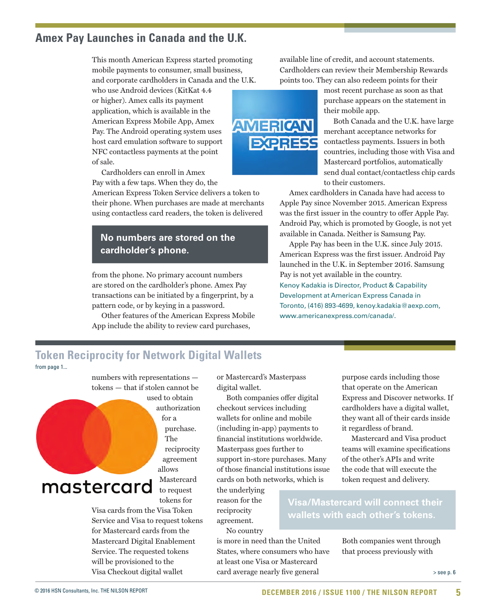#### <span id="page-4-0"></span>**Amex Pay Launches in Canada and the U.K.**

This month American Express started promoting mobile payments to consumer, small business, and corporate cardholders in Canada and the U.K.

who use Android devices (KitKat 4.4 or higher). Amex calls its payment application, which is available in the American Express Mobile App, Amex Pay. The Android operating system uses host card emulation software to support NFC contactless payments at the point of sale.

Cardholders can enroll in Amex Pay with a few taps. When they do, the

American Express Token Service delivers a token to their phone. When purchases are made at merchants using contactless card readers, the token is delivered

#### **No numbers are stored on the cardholder's phone.**

from the phone. No primary account numbers are stored on the cardholder's phone. Amex Pay transactions can be initiated by a fingerprint, by a pattern code, or by keying in a password.

Other features of the American Express Mobile App include the ability to review card purchases,

available line of credit, and account statements. Cardholders can review their Membership Rewards points too. They can also redeem points for their

> most recent purchase as soon as that purchase appears on the statement in their mobile app.

Both Canada and the U.K. have large merchant acceptance networks for contactless payments. Issuers in both countries, including those with Visa and Mastercard portfolios, automatically send dual contact/contactless chip cards to their customers.

Amex cardholders in Canada have had access to Apple Pay since November 2015. American Express was the first issuer in the country to offer Apple Pay. Android Pay, which is promoted by Google, is not yet available in Canada. Neither is Samsung Pay.

Apple Pay has been in the U.K. since July 2015. American Express was the first issuer. Android Pay launched in the U.K. in September 2016. Samsung Pay is not yet available in the country. Kenoy Kadakia is Director, Product & Capability Development at American Express Canada in Toronto, (416) 893-4699, kenoy.kadakia@aexp.com, [www.americanexpress.com/canada/.](http://www.americanexpress.com/canada/)

#### **Token Reciprocity for Network Digital Wallets**

[from page 1...](#page-0-0) 

numbers with representations tokens — that if stolen cannot be

used to obtain authorization for a purchase. The reciprocity agreement allows Mastercard mastercard to request

tokens for

Visa cards from the Visa Token Service and Visa to request tokens for Mastercard cards from the Mastercard Digital Enablement Service. The requested tokens will be provisioned to the Visa Checkout digital wallet

or Mastercard's Masterpass digital wallet.

Both companies offer digital checkout services including wallets for online and mobile (including in-app) payments to financial institutions worldwide. Masterpass goes further to support in-store purchases. Many of those financial institutions issue cards on both networks, which is

the underlying reason for the reciprocity agreement.

No country

is more in need than the United States, where consumers who have at least one Visa or Mastercard card average nearly five general

purpose cards including those that operate on the American Express and Discover networks. If cardholders have a digital wallet, they want all of their cards inside it regardless of brand.

Mastercard and Visa product teams will examine specifications of the other's APIs and write the code that will execute the token request and delivery.

**Visa/Mastercard will connect their wallets with each other's tokens.** 

> Both companies went through that process previously with

> > [> see p. 6](#page-5-0)

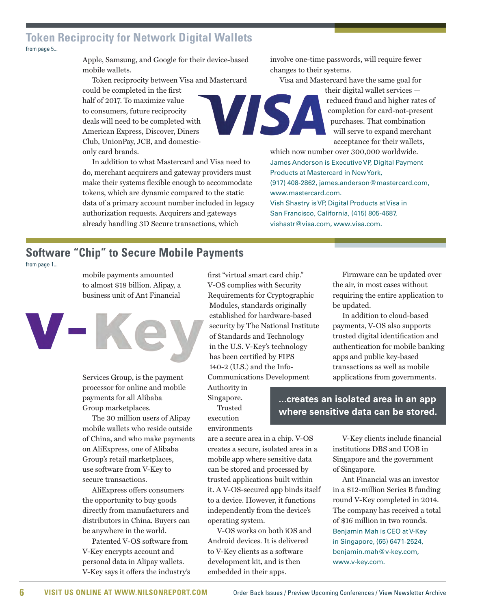#### <span id="page-5-0"></span>**Token Reciprocity for Network Digital Wallets**  [from page 5...](#page-4-0)

Apple, Samsung, and Google for their device-based mobile wallets.

Token reciprocity between Visa and Mastercard could be completed in the first half of 2017. To maximize value VISA to consumers, future reciprocity deals will need to be completed with American Express, Discover, Diners Club, UnionPay, JCB, and domesticonly card brands.

In addition to what Mastercard and Visa need to do, merchant acquirers and gateway providers must make their systems flexible enough to accommodate tokens, which are dynamic compared to the static data of a primary account number included in legacy authorization requests. Acquirers and gateways already handling 3D Secure transactions, which

involve one-time passwords, will require fewer changes to their systems.

Visa and Mastercard have the same goal for

their digital wallet services reduced fraud and higher rates of completion for card-not-present purchases. That combination will serve to expand merchant acceptance for their wallets,

which now number over 300,000 worldwide. James Anderson is Executive VP, Digital Payment Products at Mastercard in New York, (917) 408-2862, james.anderson@mastercard.com, [www.mastercard.com.](http://www.mastercard.com) Vish Shastry is VP, Digital Products at Visa in

San Francisco, California, (415) 805-4687, vishastr@visa.com, [www.visa.com](http://www.visa.com).

### **Software "Chip" to Secure Mobile Payments**

[from page 1...](#page-0-0) 

mobile payments amounted to almost \$18 billion. Alipay, a business unit of Ant Financial



Services Group, is the payment processor for online and mobile payments for all Alibaba Group marketplaces.

The 30 million users of Alipay mobile wallets who reside outside of China, and who make payments on AliExpress, one of Alibaba Group's retail marketplaces, use software from V-Key to secure transactions.

AliExpress offers consumers the opportunity to buy goods directly from manufacturers and distributors in China. Buyers can be anywhere in the world.

Patented V-OS software from V-Key encrypts account and personal data in Alipay wallets. V-Key says it offers the industry's first "virtual smart card chip." V-OS complies with Security Requirements for Cryptographic Modules, standards originally established for hardware-based security by The National Institute of Standards and Technology in the U.S. V-Key's technology has been certified by FIPS 140-2 (U.S.) and the Info-Communications Development

Authority in Singapore.

Trusted execution environments

are a secure area in a chip. V-OS creates a secure, isolated area in a mobile app where sensitive data can be stored and processed by trusted applications built within it. A V-OS-secured app binds itself to a device. However, it functions independently from the device's operating system.

V-OS works on both iOS and Android devices. It is delivered to V-Key clients as a software development kit, and is then embedded in their apps.

Firmware can be updated over the air, in most cases without requiring the entire application to be updated.

In addition to cloud-based payments, V-OS also supports trusted digital identification and authentication for mobile banking apps and public key-based transactions as well as mobile applications from governments.

**...creates an isolated area in an app where sensitive data can be stored.** 

> V-Key clients include financial institutions DBS and UOB in Singapore and the government of Singapore.

> Ant Financial was an investor in a \$12-million Series B funding round V-Key completed in 2014. The company has received a total of \$16 million in two rounds. Benjamin Mah is CEO at V-Key in Singapore, (65) 6471-2524, benjamin.mah@v-key.com, [www.v-key.com.](http://www.v-key.com)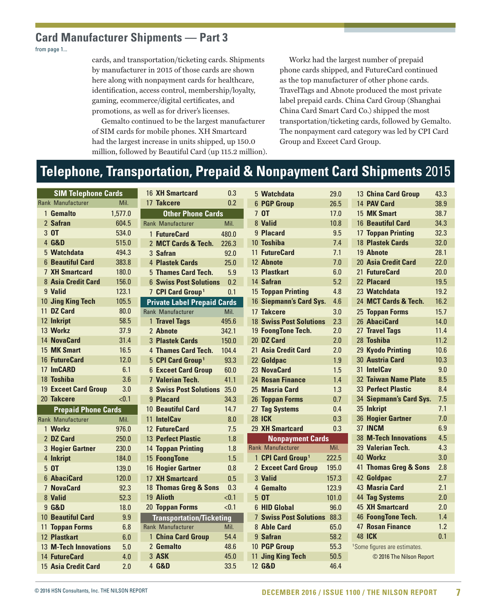#### <span id="page-6-0"></span>**Card Manufacturer Shipments — Part 3**

[from page 1...](#page-0-0) 

cards, and transportation/ticketing cards. Shipments by manufacturer in 2015 of those cards are shown here along with nonpayment cards for healthcare, identification, access control, membership/loyalty, gaming, ecommerce/digital certificates, and promotions, as well as for driver's licenses.

Gemalto continued to be the largest manufacturer of SIM cards for mobile phones. XH Smartcard had the largest increase in units shipped, up 150.0 million, followed by Beautiful Card (up 115.2 million).

Workz had the largest number of prepaid phone cards shipped, and FutureCard continued as the top manufacturer of other phone cards. TravelTags and Abnote produced the most private label prepaid cards. China Card Group (Shanghai China Card Smart Card Co.) shipped the most transportation/ticketing cards, followed by Gemalto. The nonpayment card category was led by CPI Card Group and Exceet Card Group.

#### **Telephone, Transportation, Prepaid & Nonpayment Card Shipments** 2015

| <b>SIM Telephone Cards</b>  |         | 16 XH Smartcard                    | 0.3   | 5 Watchdata                    | 29.0  | 13 China Card Group                      | 43.3 |
|-----------------------------|---------|------------------------------------|-------|--------------------------------|-------|------------------------------------------|------|
| <b>Rank Manufacturer</b>    | Mil.    | 17 Takcere                         | 0.2   | <b>6 PGP Group</b>             | 26.5  | 14 PAV Card                              | 38.9 |
| 1 Gemalto                   | 1,577.0 | <b>Other Phone Cards</b>           |       | 7 OT                           | 17.0  | 15 MK Smart                              | 38.7 |
| 2 Safran                    | 604.5   | <b>Rank Manufacturer</b>           | Mil.  | 8 Valid                        | 10.8  | <b>16 Beautiful Card</b>                 | 34.3 |
| 3 OT                        | 534.0   | 1 FutureCard                       | 480.0 | 9 Placard                      | 9.5   | <b>17 Toppan Printing</b>                | 32.3 |
| 4 G&D                       | 515.0   | 2 MCT Cards & Tech.                | 226.3 | 10 Toshiba                     | 7.4   | 18 Plastek Cards                         | 32.0 |
| 5 Watchdata                 | 494.3   | 3 Safran                           | 92.0  | 11 FutureCard                  | 7.1   | 19 Abnote                                | 28.1 |
| <b>6 Beautiful Card</b>     | 383.8   | 4 Plastek Cards                    | 25.0  | 12 Abnote                      | 7.0   | 20 Asia Credit Card                      | 22.0 |
| <b>7 XH Smartcard</b>       | 180.0   | 5 Thames Card Tech.                | 5.9   | 13 Plastkart                   | 6.0   | 21 FutureCard                            | 20.0 |
| 8 Asia Credit Card          | 156.0   | <b>6 Swiss Post Solutions</b>      | 0.2   | 14 Safran                      | 5.2   | 22 Placard                               | 19.5 |
| 9 Valid                     | 123.1   | 7 CPI Card Group <sup>1</sup>      | 0.1   | <b>15 Toppan Printing</b>      | 4.8   | 23 Watchdata                             | 19.2 |
| 10 Jing King Tech           | 105.5   | <b>Private Label Prepaid Cards</b> |       | 16 Siepmann's Card Sys.        | 4.6   | 24 MCT Cards & Tech.                     | 16.2 |
| 11 DZ Card                  | 80.0    | Rank Manufacturer                  | Mil.  | 17 Takcere                     | 3.0   | 25 Toppan Forms                          | 15.7 |
| 12 Inkript                  | 58.5    | 1 Travel Tags                      | 495.6 | <b>18 Swiss Post Solutions</b> | 2.3   | 26 AbaciCard                             | 14.0 |
| 13 Workz                    | 37.9    | 2 Abnote                           | 342.1 | 19 FoongTone Tech.             | 2.0   | 27 Travel Tags                           | 11.4 |
| 14 NovaCard                 | 31.4    | <b>3 Plastek Cards</b>             | 150.0 | 20 DZ Card                     | 2.0   | 28 Toshiba                               | 11.2 |
| 15 MK Smart                 | 16.5    | 4 Thames Card Tech.                | 104.4 | 21 Asia Credit Card            | 2.0   | 29 Kyodo Printing                        | 10.6 |
| 16 FutureCard               | 12.0    | 5 CPI Card Group <sup>1</sup>      | 93.3  | 22 Goldpac                     | 1.9   | 30 Austria Card                          | 10.3 |
| 17 ImCARD                   | 6.1     | <b>6 Exceet Card Group</b>         | 60.0  | 23 NovaCard                    | 1.5   | 31 IntelCav                              | 9.0  |
| 18 Toshiba                  | 3.6     | <b>7 Valerian Tech.</b>            | 41.1  | 24 Rosan Finance               | 1.4   | 32 Taiwan Name Plate                     | 8.5  |
| <b>19 Exceet Card Group</b> | 3.0     | <b>8 Swiss Post Solutions</b>      | 35.0  | 25 Masria Card                 | 1.3   | 33 Perfect Plastic                       | 8.4  |
| 20 Takcere                  | < 0.1   | 9 Placard                          | 34.3  | 26 Toppan Forms                | 0.7   | 34 Siepmann's Card Sys.                  | 7.5  |
| <b>Prepaid Phone Cards</b>  |         | <b>10 Beautiful Card</b>           | 14.7  | 27 Tag Systems                 | 0.4   | 35 Inkript                               | 7.1  |
| <b>Rank Manufacturer</b>    | Mil.    | 11 IntelCav                        | 8.0   | <b>28 ICK</b>                  | 0.3   | 36 Hogier Gartner                        | 7.0  |
| 1 Workz                     | 976.0   | 12 FutureCard                      | 7.5   | 29 XH Smartcard                | 0.3   | 37 INCM                                  | 6.9  |
| 2 DZ Card                   | 250.0   | <b>13 Perfect Plastic</b>          | 1.8   | <b>Nonpayment Cards</b>        |       | <b>38 M-Tech Innovations</b>             | 4.5  |
| 3 Hogier Gartner            | 230.0   | <b>14 Toppan Printing</b>          | 1.8   | <b>Rank Manufacturer</b>       | Mil.  | 39 Valerian Tech.                        | 4.3  |
| 4 Inkript                   | 184.0   | 15 FoongTone                       | 1.5   | 1 CPI Card Group <sup>1</sup>  | 222.5 | 40 Workz                                 | 3.0  |
| 5 OT                        | 139.0   | 16 Hogier Gartner                  | 0.8   | <b>2 Exceet Card Group</b>     | 195.0 | 41 Thomas Greg & Sons                    | 2.8  |
| 6 AbaciCard                 | 120.0   | <b>17 XH Smartcard</b>             | 0.5   | 3 Valid                        | 157.3 | 42 Goldpac                               | 2.7  |
| <b>7 NovaCard</b>           | 92.3    | 18 Thomas Greg & Sons              | 0.3   | 4 Gemalto                      | 123.9 | 43 Masria Card                           | 2.1  |
| 8 Valid                     | 52.3    | 19 Alioth                          | < 0.1 | 5 OT                           | 101.0 | <b>44 Tag Systems</b>                    | 2.0  |
| 9 G&D                       | 18.0    | 20 Toppan Forms                    | < 0.1 | 6 HID Global                   | 96.0  | <b>45 XH Smartcard</b>                   | 2.0  |
| <b>10 Beautiful Card</b>    | 9.9     | <b>Transportation/Ticketing</b>    |       | 7 Swiss Post Solutions 88.3    |       | 46 FoongTone Tech.                       | 1.4  |
| <b>11 Toppan Forms</b>      | 6.8     | <b>Rank Manufacturer</b>           | Mil.  | 8 Able Card                    | 65.0  | <b>47 Rosan Finance</b>                  | 1.2  |
| 12 Plastkart                | 6.0     | 1 China Card Group                 | 54.4  | 9 Safran                       | 58.2  | <b>48 ICK</b>                            | 0.1  |
| 13 M-Tech Innovations       | 5.0     | 2 Gemalto                          | 48.6  | 10 PGP Group                   | 55.3  | <sup>1</sup> Some figures are estimates. |      |
| <b>14 FutureCard</b>        | 4.0     | 3 ASK                              | 45.0  | 11 Jing King Tech              | 50.5  | © 2016 The Nilson Report                 |      |
| 15 Asia Credit Card         | 2.0     | 4 G&D                              | 33.5  | 12 G&D                         | 46.4  |                                          |      |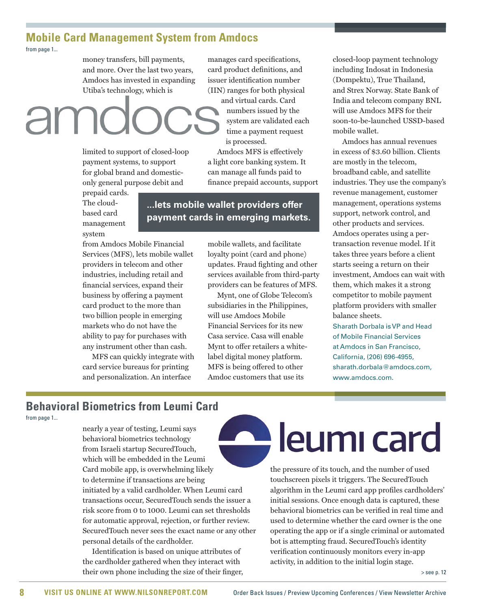#### <span id="page-7-0"></span>**Mobile Card Management System from Amdocs**  [from page 1...](#page-0-0)

money transfers, bill payments, and more. Over the last two years, Amdocs has invested in expanding Utiba's technology, which is

# and virtual cards. Card

limited to support of closed-loop payment systems, to support for global brand and domesticonly general purpose debit and

prepaid cards. The cloudbased card management system

**...lets mobile wallet providers offer payment cards in emerging markets.** 

from Amdocs Mobile Financial Services (MFS), lets mobile wallet providers in telecom and other industries, including retail and financial services, expand their business by offering a payment card product to the more than two billion people in emerging markets who do not have the ability to pay for purchases with any instrument other than cash.

MFS can quickly integrate with card service bureaus for printing and personalization. An interface

mobile wallets, and facilitate loyalty point (card and phone) updates. Fraud fighting and other services available from third-party providers can be features of MFS.

manages card specifications, card product definitions, and issuer identification number (IIN) ranges for both physical

> numbers issued by the system are validated each time a payment request

Amdocs MFS is effectively a light core banking system. It can manage all funds paid to finance prepaid accounts, support

is processed.

Mynt, one of Globe Telecom's subsidiaries in the Philippines, will use Amdocs Mobile Financial Services for its new Casa service. Casa will enable Mynt to offer retailers a whitelabel digital money platform. MFS is being offered to other Amdoc customers that use its

closed-loop payment technology including Indosat in Indonesia (Dompektu), True Thailand, and Strex Norway. State Bank of India and telecom company BNL will use Amdocs MFS for their soon-to-be-launched USSD-based mobile wallet.

Amdocs has annual revenues in excess of \$3.60 billion. Clients are mostly in the telecom, broadband cable, and satellite industries. They use the company's revenue management, customer management, operations systems support, network control, and other products and services. Amdocs operates using a pertransaction revenue model. If it takes three years before a client starts seeing a return on their investment, Amdocs can wait with them, which makes it a strong competitor to mobile payment platform providers with smaller balance sheets.

Sharath Dorbala is VP and Head of Mobile Financial Services at Amdocs in San Francisco, California, (206) 696-4955, sharath.dorbala@amdocs.com, www.amdocs.com.

#### **Behavioral Biometrics from Leumi Card**

[from page 1...](#page-0-0) 

nearly a year of testing, Leumi says behavioral biometrics technology from Israeli startup SecuredTouch, which will be embedded in the Leumi Card mobile app, is overwhelming likely to determine if transactions are being initiated by a valid cardholder. When Leumi card transactions occur, SecuredTouch sends the issuer a risk score from 0 to 1000. Leumi can set thresholds for automatic approval, rejection, or further review. SecuredTouch never sees the exact name or any other personal details of the cardholder.

Identification is based on unique attributes of the cardholder gathered when they interact with their own phone including the size of their finger,

## leumi card

the pressure of its touch, and the number of used touchscreen pixels it triggers. The SecuredTouch algorithm in the Leumi card app profiles cardholders' initial sessions. Once enough data is captured, these behavioral biometrics can be verified in real time and used to determine whether the card owner is the one operating the app or if a single criminal or automated bot is attempting fraud. SecuredTouch's identity verification continuously monitors every in-app activity, in addition to the initial login stage.

[> see p. 12](#page-10-0)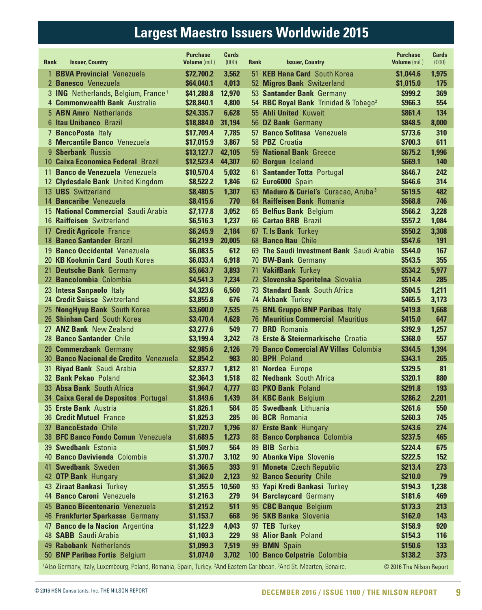## **Largest Maestro Issuers Worldwide 2015**

<span id="page-8-0"></span>

| <b>Rank</b>     | <b>Issuer, Country</b>                                                                                                                                   | <b>Purchase</b><br>Volume (mil.) | <b>Cards</b><br>(000) | Rank | <b>Issuer, Country</b>                                 | <b>Purchase</b><br><b>Volume</b> (mil.) | <b>Cards</b><br>(000) |
|-----------------|----------------------------------------------------------------------------------------------------------------------------------------------------------|----------------------------------|-----------------------|------|--------------------------------------------------------|-----------------------------------------|-----------------------|
| $\mathbf{1}$    | <b>BBVA Provincial Venezuela</b>                                                                                                                         | \$72,700.2                       | 3,562                 | 51   | <b>KEB Hana Card</b> South Korea                       | \$1,044.6                               | 1,975                 |
|                 | 2 Banesco Venezuela                                                                                                                                      | \$64,040.1                       | 4,013                 |      | 52 Migros Bank Switzerland                             | \$1,015.0                               | 175                   |
|                 | 3 ING Netherlands, Belgium, France <sup>1</sup>                                                                                                          | \$41,288.8                       | 12,970                |      | 53 Santander Bank Germany                              | \$999.2                                 | 369                   |
|                 | 4 <b>Commonwealth Bank</b> Australia                                                                                                                     | \$28,840.1                       | 4,800                 |      | 54 RBC Royal Bank Trinidad & Tobago <sup>2</sup>       | \$966.3                                 | 554                   |
|                 | 5 ABN Amro Netherlands                                                                                                                                   | \$24,335.7                       | 6,628                 |      | 55 Ahli United Kuwait                                  | <b>\$861.4</b>                          | 134                   |
|                 | <b>6 Itau Unibanco Brazil</b>                                                                                                                            | \$18,884.0                       | 31,194                |      | 56 DZ Bank Germany                                     | \$848.5                                 | 8,000                 |
|                 | 7 BancoPosta Italy                                                                                                                                       | \$17,709.4                       | 7,785                 |      | 57 Banco Sofitasa Venezuela                            | \$773.6                                 | 310                   |
|                 | 8 Mercantile Banco Venezuela                                                                                                                             | \$17,015.9                       | 3,867                 |      | 58 PBZ Croatia                                         | \$700.3                                 | 611                   |
|                 | 9 <b>Sberbank</b> Russia                                                                                                                                 | \$13,127.7                       | 42,105                |      | 59 National Bank Greece                                | \$675.2                                 | 1,996                 |
|                 | 10 Caixa Economica Federal Brazil                                                                                                                        | \$12,523.4                       | 44,307                |      | 60 Borgun Iceland                                      | \$669.1                                 | 140                   |
| 11              | Banco de Venezuela Venezuela                                                                                                                             | \$10,570.4                       | 5,032                 |      | 61 Santander Totta Portugal                            | <b>\$646.7</b>                          | 242                   |
| 12 <sup>°</sup> | <b>Clydesdale Bank</b> United Kingdom                                                                                                                    | \$8,522.2                        | 1,846                 |      | 62 Euro6000 Spain                                      | \$646.6                                 | 314                   |
| 13              | <b>UBS</b> Switzerland                                                                                                                                   | \$8,480.5                        | 1,307                 |      | 63 Maduro & Curiel's Curacao, Aruba <sup>3</sup>       | \$619.5                                 | 482                   |
|                 | 14 <b>Bancaribe</b> Venezuela                                                                                                                            | \$8,415.6                        | 770                   |      | 64 Raiffeisen Bank Romania                             | \$568.8                                 | 746                   |
| 15              | <b>National Commercial Saudi Arabia</b>                                                                                                                  | \$7,177.8                        | 3,052                 |      | 65 Belfius Bank Belgium                                | \$566.2                                 | 3,228                 |
| 16              | <b>Raiffeisen</b> Switzerland                                                                                                                            | \$6,516.3                        | 1,237                 |      | 66 Cartao BRB Brazil                                   | \$557.2                                 | 1,084                 |
| 17<br>18        | <b>Credit Agricole France</b><br><b>Banco Santander Brazil</b>                                                                                           | \$6,245.9<br>\$6,219.9           | 2,184<br>20,005       |      | 67 T. Is Bank Turkey<br>68 Banco Itau Chile            | \$550.2<br>\$547.6                      | 3,308<br><b>191</b>   |
| 19              | <b>Banco Occidental Venezuela</b>                                                                                                                        |                                  | 612                   |      | 69 The Saudi Investment Bank Saudi Arabia              | \$544.0                                 | 167                   |
|                 | 20 KB Kookmin Card South Korea                                                                                                                           | \$6,083.5<br>\$6,033.4           | 6,918                 |      | 70 BW-Bank Germany                                     | \$543.5                                 | 355                   |
| 21.             | <b>Deutsche Bank Germany</b>                                                                                                                             | \$5,663.7                        | 3,893                 |      | 71 VakifBank Turkey                                    | \$534.2                                 | 5,977                 |
|                 | 22 Bancolombia Colombia                                                                                                                                  | \$4,541.3                        | 7,234                 |      | 72 Slovenska Sporitelna Slovakia                       | <b>\$514.4</b>                          | 285                   |
| 23              | <b>Intesa Sanpaolo Italy</b>                                                                                                                             | \$4,323.6                        | 6,560                 |      | 73 Standard Bank South Africa                          | \$504.5                                 | 1,211                 |
| 24              | <b>Credit Suisse Switzerland</b>                                                                                                                         | \$3,855.8                        | 676                   |      | 74 Akbank Turkey                                       | \$465.5                                 | 3,173                 |
| 25              | <b>NongHyup Bank South Korea</b>                                                                                                                         | \$3,600.0                        | 7,535                 |      | 75 BNL Gruppo BNP Paribas Italy                        | \$419.8                                 | 1,668                 |
| 26              | <b>Shinhan Card South Korea</b>                                                                                                                          | \$3,470.4                        | 4,628                 |      | <b>76 Mauritius Commercial Mauritius</b>               | \$415.0                                 | 647                   |
|                 | 27 ANZ Bank New Zealand                                                                                                                                  | \$3,277.6                        | 549                   | 77   | <b>BRD</b> Romania                                     | \$392.9                                 | 1,257                 |
| 28              | <b>Banco Santander Chile</b>                                                                                                                             | \$3,199.4                        | 3,242                 |      | 78 Erste & Steiermarkische Croatia                     | \$368.0                                 | 557                   |
| 29.             | <b>Commerzbank Germany</b>                                                                                                                               | \$2,985.6                        | 2,126                 |      | 79 Banco Comercial AV Villas Colombia                  | \$344.5                                 | 1,394                 |
| 30              | <b>Banco Nacional de Credito Venezuela</b>                                                                                                               | \$2,854.2                        | 983                   |      | 80 BPH Poland                                          | \$343.1                                 | 265                   |
| 31              | <b>Riyad Bank</b> Saudi Arabia                                                                                                                           | \$2,837.7                        | 1,812                 |      | 81 Nordea Europe                                       | \$329.5                                 | 81                    |
|                 | 32 Bank Pekao Poland                                                                                                                                     | \$2,364.3                        | 1,518                 |      | 82 Nedbank South Africa                                | \$320.1                                 | 880                   |
|                 | 33 Absa Bank South Africa                                                                                                                                | \$1,964.7                        | 4,777                 |      | 83 PKO Bank Poland                                     | <b>\$291.8</b>                          | 193                   |
|                 | 34 Caixa Geral de Depositos Portugal                                                                                                                     | \$1,849.6                        | 1,439                 |      | 84 KBC Bank Belgium                                    | \$286.2                                 | 2,201                 |
|                 | 35 Erste Bank Austria                                                                                                                                    | \$1,826.1                        | 584                   |      | 85 Swedbank Lithuania                                  | \$261.6                                 | 550                   |
|                 | 36 Credit Mutuel France                                                                                                                                  | \$1,825.3                        | 285                   |      | 86 BCR Romania                                         | \$260.3                                 | 745                   |
| 37              | <b>BancoEstado Chile</b>                                                                                                                                 | \$1,720.7                        | 1,796                 |      | 87 Erste Bank Hungary                                  | \$243.6                                 | 274                   |
|                 | 38 BFC Banco Fondo Comun Venezuela                                                                                                                       | \$1,689.5                        | 1,273                 |      | 88 Banco Corpbanca Colombia                            | \$237.5                                 | 465                   |
|                 | 39 Swedbank Estonia                                                                                                                                      | \$1,509.7                        | 564                   |      | 89 BIB Serbia                                          | \$224.4                                 | 675                   |
|                 | 40 Banco Davivienda Colombia                                                                                                                             | \$1,370.7                        | 3,102                 |      | 90 Abanka Vipa Slovenia                                | \$222.5                                 | <b>152</b>            |
|                 | 41 Swedbank Sweden<br>42 OTP Bank Hungary                                                                                                                | \$1,366.5                        | 393                   | 91   | <b>Moneta</b> Czech Republic                           | \$213.4                                 | 273                   |
|                 | 43 Ziraat Bankasi Turkey                                                                                                                                 | \$1,362.0<br>\$1,355.5           | 2,123                 |      | 92 Banco Security Chile                                | \$210.0                                 | 79                    |
|                 | 44 Banco Caroni Venezuela                                                                                                                                | \$1,216.3                        | 10,560<br>279         |      | 93 Yapi Kredi Bankasi Turkey<br>94 Barclaycard Germany | \$194.3<br>\$181.6                      | 1,238<br>469          |
|                 | 45 Banco Bicentenario Venezuela                                                                                                                          | \$1,215.2                        | 511                   |      | 95 CBC Banque Belgium                                  | \$173.3                                 | 213                   |
|                 | 46 Frankfurter Sparkasse Germany                                                                                                                         | \$1,153.7                        | 668                   |      | 96 SKB Banka Slovenia                                  | \$162.0                                 | 143                   |
| 47              | <b>Banco de la Nacion</b> Argentina                                                                                                                      | \$1,122.9                        | 4,043                 |      | 97 TEB Turkey                                          | \$158.9                                 | 920                   |
|                 | 48 SABB Saudi Arabia                                                                                                                                     | \$1,103.3                        | 229                   |      | 98 Alior Bank Poland                                   | \$154.3                                 | <b>116</b>            |
|                 | 49 Rabobank Netherlands                                                                                                                                  | \$1,099.3                        | 7,519                 |      | 99 BMN Spain                                           | \$150.6                                 | <b>133</b>            |
|                 | 50 BNP Paribas Fortis Belgium                                                                                                                            | \$1,074.0                        | 3,702                 |      | 100 Banco Colpatria Colombia                           | \$138.2                                 | 373                   |
|                 | <sup>1</sup> Also Germany, Italy, Luxembourg, Poland, Romania, Spain, Turkey. <sup>2</sup> And Eastern Caribbean. <sup>3</sup> And St. Maarten, Bonaire. |                                  |                       |      |                                                        | © 2016 The Nilson Report                |                       |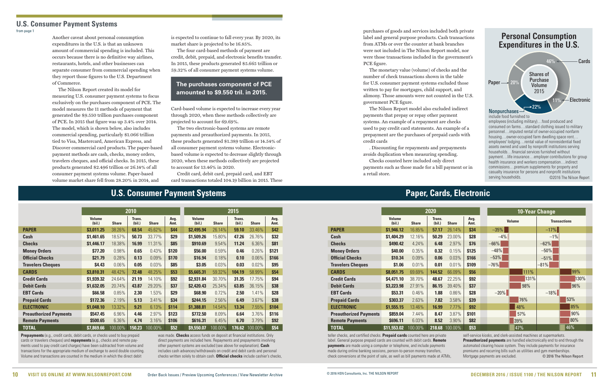Another caveat about personal consumption expenditures in the U.S. is that an unknown amount of commercial spending is included. This occurs because there is no definitive way airlines, restaurants, hotels, and other businesses can separate consumer from commercial spending when they report those figures to the U.S. Department of Commerce.

The Nilson Report created its model for measuring U.S. consumer payment systems to focus exclusively on the purchases component of PCE. The model measures the 11 methods of payment that generated the \$9.550 trillion purchases component of PCE. In 2015 that figure was up 3.4% over 2014. The model, which is shown below, also includes commercial spending, particularly \$1.066 trillion tied to Visa, Mastercard, American Express, and Discover commercial card products. The paper-based payment methods are cash, checks, money orders, travelers cheques, and official checks. In 2015, these products generated \$2.496 trillion or 26.14% of all consumer payment systems volume. Paper-based volume market share fell from 28.20% in 2014, and

is expected to continue to fall every year. By 2020, its market share is projected to be 16.85%.

The four card-based methods of payment are credit, debit, prepaid, and electronic benefits transfer. In 2015, these products generated \$5.665 trillion or 59.32% of all consumer payment systems volume.

Card-based volume is expected to increase every year through 2020, when these methods collectively are projected to account for 69.69%.

The two electronic-based systems are remote payments and preauthorized payments. In 2015, these products generated \$1.389 trillion or 14.54% of all consumer payment systems volume. Electronicbased volume is expected to decrease slightly through 2020, when these methods collectively are projected to account for 13.46% in 2020.

Credit card, debit card, prepaid card, and EBT card transactions totaled 104.19 billion in 2015. These

purchases of goods and services included both private label and general purpose products. Cash transactions from ATMs or over the counter at bank branches were not included in The Nilson Report model, nor were those transactions included in the government's PCE figure.

 **Volume Trans. Avg. Volume Trans. Avg. Volume Trans. Avg. Volume Trans. Avg. (bil.) Share (bil.) Share Amt. (bil.) Share (bil.) Share Amt. PAPER \$3,011.25** 38.26% **68.54** 45.62% **\$44 \$2,495.94** 26.14% **59.10** 33.46% **\$42 Cash \$1,461.65** 18.57% **50.73** 33.77% **\$29 \$1,509.26** 15.80% **47.26** 26.76% **\$32 Checks \$1,446.17** 18.38% **16.99** 11.31% **\$85 \$910.69** 9.54% **11.24** 6.36% **\$81 Money Orders \$77.20** 0.98% **0.65** 0.43% **\$120 \$56.00** 0.59% **0.46** 0.26% **\$121 Offi cial Checks \$21.79** 0.28% **0.13** 0.09% **\$170 \$16.94** 0.18% **0.10** 0.06% **\$166 Travelers Cheques \$4.43** 0.06% **0.05** 0.03% **\$85 \$3.05** 0.03% **0.03** 0.02% **\$95 CARDS \$3,810.31** 48.42% **72.48** 48.25% **\$53 \$5,665.31** 59.32% **104.19** 58.99% **\$54 Credit Cards \$1,939.32** 24.64% **21.19** 14.10% **\$92 \$2,931.84** 30.70% **31.35** 17.75% **\$94 Debit Cards \$1,632.05** 20.74% **43.87** 29.20% **\$37 \$2,420.43** 25.34% **63.85** 36.15% **\$38 EBT Cards \$66.58** 0.85% **2.30** 1.53% **\$29 \$68.90** 0.72% **2.50** 1.41% **\$28 Prepaid Cards \$172.36** 2.19% **5.13** 3.41% **\$34 \$244.15** 2.56% **6.49** 3.67% **\$38 ELECTRONIC \$1,048.10** 13.32% **9.21** 6.13% **\$114 \$1,388.81** 14.54% **13.34** 7.55% **\$104 Preauthorized Payments \$547.45** 6.96% **4.46** 2.97% **\$123 \$772.50** 8.09% **6.64** 3.76% **\$116 Remote Payments \$500.65** 6.36% **4.74** 3.16% **\$106 \$616.31** 6.45% **6.70** 3.79% **\$92 TOTAL \$7,869.66** 100.00% **150.23** 100.00% **\$52 \$9,550.07** 100.00% **176.62** 100.00% **\$54**

The monetary value (volume) of checks and the number of check transactions shown in the table for U.S. consumer payment systems excluded those written to pay for mortgages, child support, and alimony. Those amounts were not counted in the U.S. government PCE figure.

The Nilson Report model also excluded indirect payments that prepay or repay other payment systems. An example of a repayment are checks used to pay credit card statements. An example of a prepayment are the purchases of prepaid cards with credit cards

**Prepayments** (e.g., credit cards, debit cards, or checks used to buy prepaid cards or travelers cheques) and **repayments** (e.g., checks and remote payments used to pay credit card charges) have been subtracted from volume and transactions for the appropriate medium of exchange to avoid double counting. Volume and transactions are counted in the medium in which the direct debit

was made. **Checks** access funds on deposit at financial institutions. Only direct payments are included here. Repayments and prepayments involving other payment systems are excluded (see above for explanation). **Cash** includes cash advances/withdrawals on credit and debit cards and personal checks written solely to obtain cash. **Official checks** include cashier's checks,

. Discounting for repayments and prepayments avoids duplication when measuring spending. Checks counted here included only direct

payments such as those made for a bill payment or in a retail store.

#### **The purchases component of PCE amounted to \$9.550 tril. in 2015.**

#### **U.S. Consumer Payment Systems Paper, Cards, Electronic**

teller checks, and certified checks. Prepaid cards counted here are private label. General purpose prepaid cards are counted with debit cards. **Remote payments** are made using a computer or telephone, and include payments made during online banking sessions, person-to-person money transfers, check conversions at the point of sale, as well as bill payments made at ATMs,

#### **Nonpurchases** include food furnished to employees (including military)…food produced and consumed on farms…standard clothing issued to military personnel…imputed rental of owner-occupied nonfarm Shares of Purchase Volume 2015 **Personal Consumption Expenditures in the U.S.**  $22%$ 20% 46% **Electronic** Cards Paper

| 2010             |              |              |                         |              | 2015             |              |              |
|------------------|--------------|--------------|-------------------------|--------------|------------------|--------------|--------------|
| Trans.<br>(bil.) | <b>Share</b> | Avg.<br>Amt. | <b>Volume</b><br>(bil.) | <b>Share</b> | Trans.<br>(bil.) | <b>Share</b> | Avg.<br>Amt. |
| 68.54            | 45.62%       | \$44         | \$2,495.94              | 26.14%       | 59.10            | 33.46%       | \$42         |
| 50.73            | 33.77%       | \$29         | \$1,509.26              | 15.80%       | 47.26            | 26.76%       | \$32         |
| 16.99            | 11.31%       | \$85         | \$910.69                | 9.54%        | 11.24            | 6.36%        | <b>\$81</b>  |
| 0.65             | 0.43%        | \$120        | \$56.00                 | 0.59%        | 0.46             | 0.26%        | \$121        |
| 0.13             | 0.09%        | \$170        | \$16.94                 | 0.18%        | 0.10             | 0.06%        | \$166        |
| 0.05             | 0.03%        | \$85         | \$3.05                  | 0.03%        | 0.03             | 0.02%        | \$95         |
| 72.48            | 48.25%       | \$53         | \$5,665.31              | 59.32%       | 104.19           | 58.99%       | \$54         |
| 21.19            | 14.10%       | \$92         | \$2,931.84              | 30.70%       | 31.35            | 17.75%       | \$94         |
| 43.87            | 29.20%       | \$37         | \$2,420.43              | 25.34%       | 63.85            | 36.15%       | \$38         |
| 2.30             | 1.53%        | \$29         | \$68.90                 | 0.72%        | 2.50             | 1.41%        | \$28         |
| 5.13             | 3.41%        | \$34         | \$244.15                | 2.56%        | 6.49             | 3.67%        | \$38         |
| 9.21             | 6.13%        | \$114        | \$1,388.81              | 14.54%       | 13.34            | 7.55%        | \$104        |
| 4.46             | 2.97%        | \$123        | \$772.50                | 8.09%        | 6.64             | 3.76%        | \$116        |
| 4.74             | 3.16%        | \$106        | \$616.31                | 6.45%        | 6.70             | 3.79%        | \$92         |
| 150.23           | 100.00%      | \$52         | \$9,550,07              | 100.00%      | 176.62           | 100.00%      | \$54         |

self-service kiosks, and clerk-assisted machines at supermarkets. **Preauthorized payments** are handled electronically end to end through the automated clearing house system. They include payments for insurance premiums and recurring bills such as utilities and gym memberships. Mortgage payments are excluded. © 2016 The Nilson Report

housing…owner-occupied farm dwelling space rent… employees' lodging…rental value of nonresidential fixed assets owned and used by nonprofit institutions serving households…financial services furnished without payment…life insurance…employer contributions for group health insurance and workers compensation…indirect commissions…premium supplements for property and casualty insurance for persons and nonprofit institutions serving households. ©2016 The Nilson Report

#### <span id="page-9-0"></span>**U.S. Consumer Payment Systems**

[from page 1](#page-0-0)